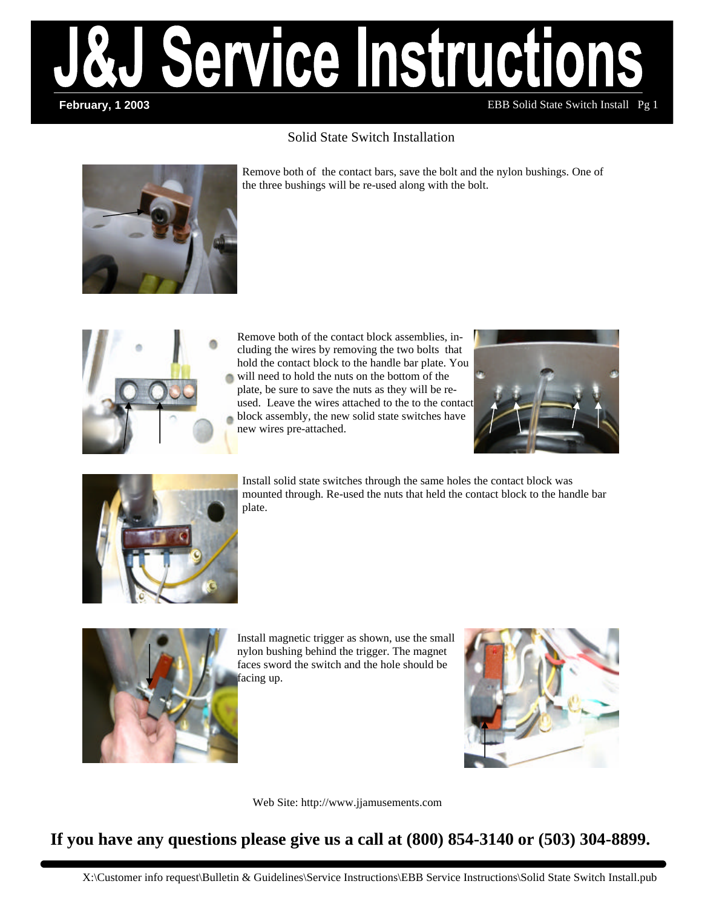

### Solid State Switch Installation



Remove both of the contact bars, save the bolt and the nylon bushings. One of the three bushings will be re-used along with the bolt.



Remove both of the contact block assemblies, including the wires by removing the two bolts that hold the contact block to the handle bar plate. You will need to hold the nuts on the bottom of the plate, be sure to save the nuts as they will be reused. Leave the wires attached to the to the contact block assembly, the new solid state switches have new wires pre-attached.





Install solid state switches through the same holes the contact block was mounted through. Re-used the nuts that held the contact block to the handle bar plate.



Install magnetic trigger as shown, use the small nylon bushing behind the trigger. The magnet faces sword the switch and the hole should be facing up.



Web Site: http://www.jjamusements.com

# **If you have any questions please give us a call at (800) 854-3140 or (503) 304-8899.**